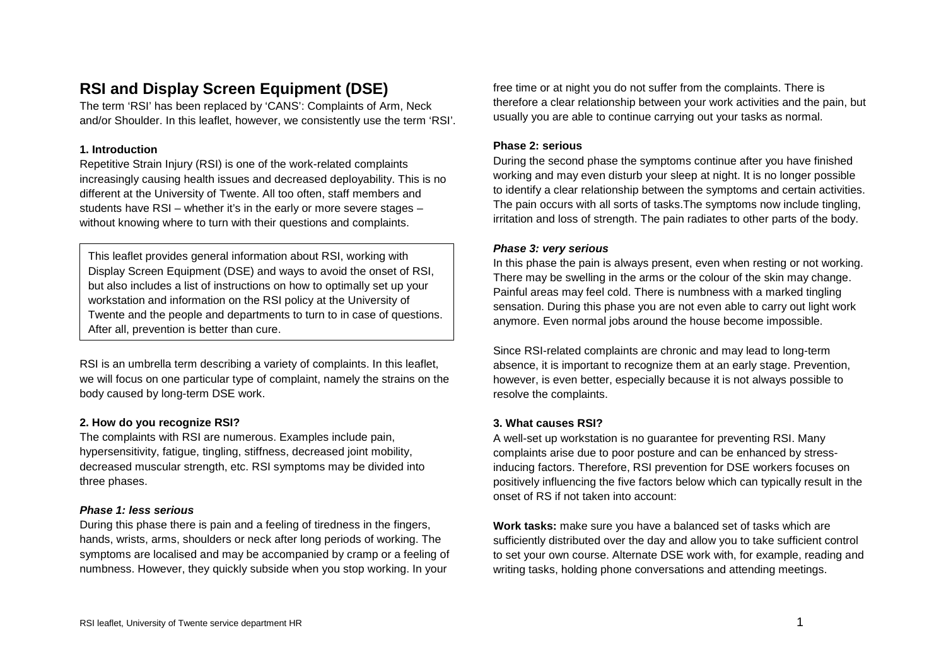# **RSI and Display Screen Equipment (DSE)**

The term 'RSI' has been replaced by 'CANS': Complaints of Arm, Neck and/or Shoulder. In this leaflet, however, we consistently use the term 'RSI'.

### **1. Introduction**

Repetitive Strain Injury (RSI) is one of the work-related complaints increasingly causing health issues and decreased deployability. This is no different at the University of Twente. All too often, staff members and students have RSI – whether it's in the early or more severe stages – without knowing where to turn with their questions and complaints.

This leaflet provides general information about RSI, working with Display Screen Equipment (DSE) and ways to avoid the onset of RSI, but also includes a list of instructions on how to optimally set up your workstation and information on the RSI policy at the University of Twente and the people and departments to turn to in case of questions. After all, prevention is better than cure.

RSI is an umbrella term describing a variety of complaints. In this leaflet, we will focus on one particular type of complaint, namely the strains on the body caused by long-term DSE work.

### **2. How do you recognize RSI?**

The complaints with RSI are numerous. Examples include pain, hypersensitivity, fatigue, tingling, stiffness, decreased joint mobility, decreased muscular strength, etc. RSI symptoms may be divided into three phases.

### *Phase 1: less serious*

During this phase there is pain and a feeling of tiredness in the fingers, hands, wrists, arms, shoulders or neck after long periods of working. The symptoms are localised and may be accompanied by cramp or a feeling of numbness. However, they quickly subside when you stop working. In your

free time or at night you do not suffer from the complaints. There is therefore a clear relationship between your work activities and the pain, but usually you are able to continue carrying out your tasks as normal.

### **Phase 2: serious**

During the second phase the symptoms continue after you have finished working and may even disturb your sleep at night. It is no longer possible to identify a clear relationship between the symptoms and certain activities. The pain occurs with all sorts of tasks.The symptoms now include tingling, irritation and loss of strength. The pain radiates to other parts of the body.

### *Phase 3: very serious*

In this phase the pain is always present, even when resting or not working. There may be swelling in the arms or the colour of the skin may change. Painful areas may feel cold. There is numbness with a marked tingling sensation. During this phase you are not even able to carry out light work anymore. Even normal jobs around the house become impossible.

Since RSI-related complaints are chronic and may lead to long-term absence, it is important to recognize them at an early stage. Prevention, however, is even better, especially because it is not always possible to resolve the complaints.

### **3. What causes RSI?**

A well-set up workstation is no guarantee for preventing RSI. Many complaints arise due to poor posture and can be enhanced by stressinducing factors. Therefore, RSI prevention for DSE workers focuses on positively influencing the five factors below which can typically result in the onset of RS if not taken into account:

**Work tasks:** make sure you have a balanced set of tasks which are sufficiently distributed over the day and allow you to take sufficient control to set your own course. Alternate DSE work with, for example, reading and writing tasks, holding phone conversations and attending meetings.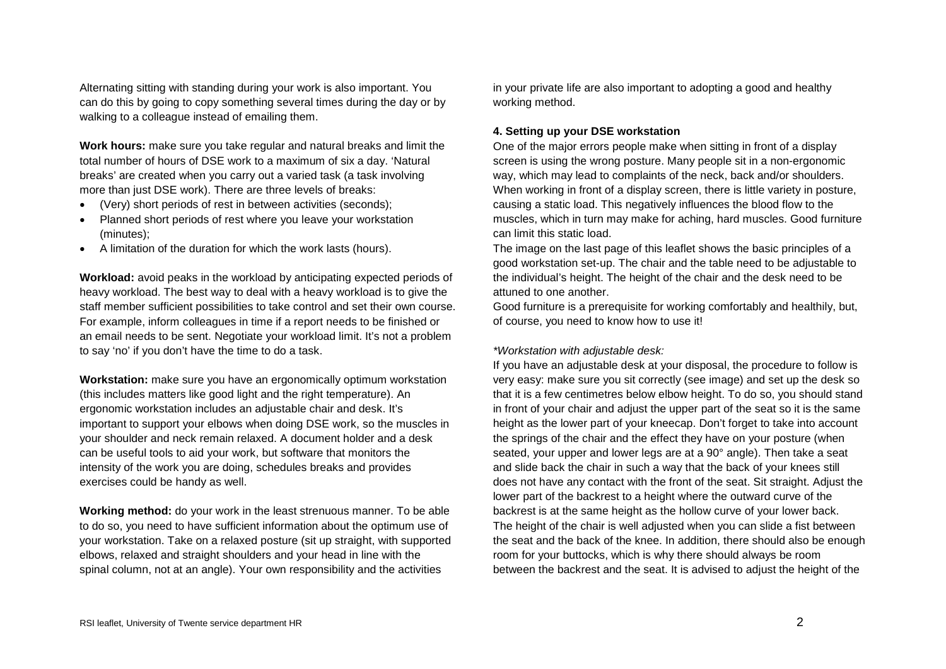Alternating sitting with standing during your work is also important. You can do this by going to copy something several times during the day or by walking to a colleague instead of emailing them.

**Work hours:** make sure you take regular and natural breaks and limit the total number of hours of DSE work to a maximum of six a day. 'Natural breaks' are created when you carry out a varied task (a task involving more than just DSE work). There are three levels of breaks:

- (Very) short periods of rest in between activities (seconds);
- Planned short periods of rest where you leave your workstation (minutes);
- A limitation of the duration for which the work lasts (hours).

**Workload:** avoid peaks in the workload by anticipating expected periods of heavy workload. The best way to deal with a heavy workload is to give the staff member sufficient possibilities to take control and set their own course. For example, inform colleagues in time if a report needs to be finished or an email needs to be sent. Negotiate your workload limit. It's not a problem to say 'no' if you don't have the time to do a task.

**Workstation:** make sure you have an ergonomically optimum workstation (this includes matters like good light and the right temperature). An ergonomic workstation includes an adjustable chair and desk. It's important to support your elbows when doing DSE work, so the muscles in your shoulder and neck remain relaxed. A document holder and a desk can be useful tools to aid your work, but software that monitors the intensity of the work you are doing, schedules breaks and provides exercises could be handy as well.

**Working method:** do your work in the least strenuous manner. To be able to do so, you need to have sufficient information about the optimum use of your workstation. Take on a relaxed posture (sit up straight, with supported elbows, relaxed and straight shoulders and your head in line with the spinal column, not at an angle). Your own responsibility and the activities

in your private life are also important to adopting a good and healthy working method.

### **4. Setting up your DSE workstation**

One of the major errors people make when sitting in front of a display screen is using the wrong posture. Many people sit in a non-ergonomic way, which may lead to complaints of the neck, back and/or shoulders. When working in front of a display screen, there is little variety in posture, causing a static load. This negatively influences the blood flow to the muscles, which in turn may make for aching, hard muscles. Good furniture can limit this static load.

The image on the last page of this leaflet shows the basic principles of a good workstation set-up. The chair and the table need to be adjustable to the individual's height. The height of the chair and the desk need to be attuned to one another.

Good furniture is a prerequisite for working comfortably and healthily, but, of course, you need to know how to use it!

### *\*Workstation with adjustable desk:*

If you have an adjustable desk at your disposal, the procedure to follow is very easy: make sure you sit correctly (see image) and set up the desk so that it is a few centimetres below elbow height. To do so, you should stand in front of your chair and adjust the upper part of the seat so it is the same height as the lower part of your kneecap. Don't forget to take into account the springs of the chair and the effect they have on your posture (when seated, your upper and lower legs are at a 90° angle). Then take a seat and slide back the chair in such a way that the back of your knees still does not have any contact with the front of the seat. Sit straight. Adjust the lower part of the backrest to a height where the outward curve of the backrest is at the same height as the hollow curve of your lower back. The height of the chair is well adjusted when you can slide a fist between the seat and the back of the knee. In addition, there should also be enough room for your buttocks, which is why there should always be room between the backrest and the seat. It is advised to adjust the height of the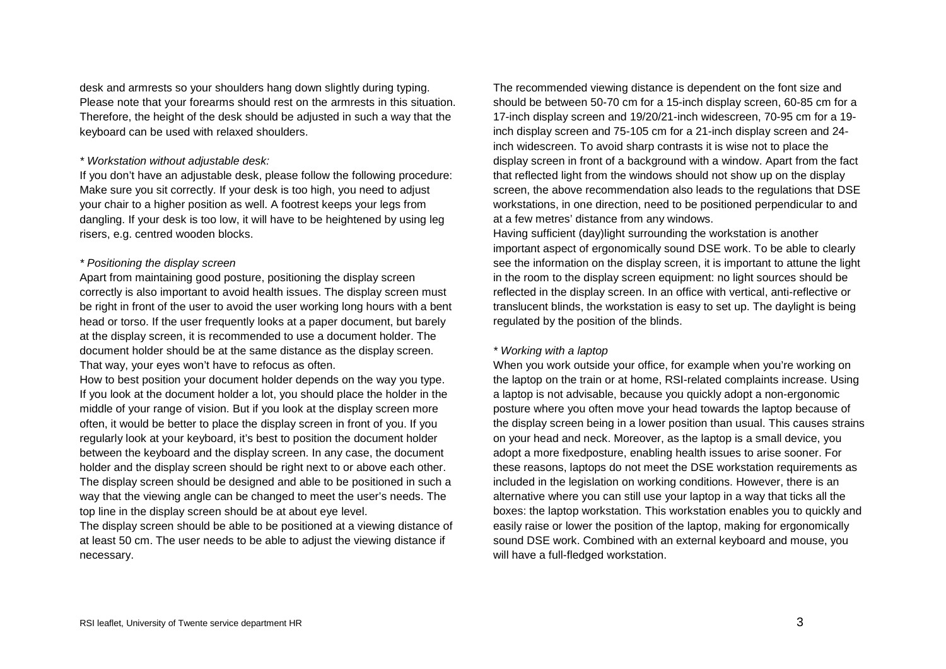desk and armrests so your shoulders hang down slightly during typing. Please note that your forearms should rest on the armrests in this situation. Therefore, the height of the desk should be adjusted in such a way that the keyboard can be used with relaxed shoulders.

### *\* Workstation without adjustable desk:*

If you don't have an adjustable desk, please follow the following procedure: Make sure you sit correctly. If your desk is too high, you need to adjust your chair to a higher position as well. A footrest keeps your legs from dangling. If your desk is too low, it will have to be heightened by using leg risers, e.g. centred wooden blocks.

#### *\* Positioning the display screen*

Apart from maintaining good posture, positioning the display screen correctly is also important to avoid health issues. The display screen must be right in front of the user to avoid the user working long hours with a bent head or torso. If the user frequently looks at a paper document, but barely at the display screen, it is recommended to use a document holder. The document holder should be at the same distance as the display screen. That way, your eyes won't have to refocus as often.

How to best position your document holder depends on the way you type. If you look at the document holder a lot, you should place the holder in the middle of your range of vision. But if you look at the display screen more often, it would be better to place the display screen in front of you. If you regularly look at your keyboard, it's best to position the document holder between the keyboard and the display screen. In any case, the document holder and the display screen should be right next to or above each other. The display screen should be designed and able to be positioned in such a way that the viewing angle can be changed to meet the user's needs. The top line in the display screen should be at about eye level.

The display screen should be able to be positioned at a viewing distance of at least 50 cm. The user needs to be able to adjust the viewing distance if necessary.

The recommended viewing distance is dependent on the font size and should be between 50-70 cm for a 15-inch display screen, 60-85 cm for a 17-inch display screen and 19/20/21-inch widescreen, 70-95 cm for a 19 inch display screen and 75-105 cm for a 21-inch display screen and 24 inch widescreen. To avoid sharp contrasts it is wise not to place the display screen in front of a background with a window. Apart from the fact that reflected light from the windows should not show up on the display screen, the above recommendation also leads to the regulations that DSE workstations, in one direction, need to be positioned perpendicular to and at a few metres' distance from any windows.

Having sufficient (day)light surrounding the workstation is another important aspect of ergonomically sound DSE work. To be able to clearly see the information on the display screen, it is important to attune the light in the room to the display screen equipment: no light sources should be reflected in the display screen. In an office with vertical, anti-reflective or translucent blinds, the workstation is easy to set up. The daylight is being regulated by the position of the blinds.

#### *\* Working with a laptop*

When you work outside your office, for example when you're working on the laptop on the train or at home, RSI-related complaints increase. Using a laptop is not advisable, because you quickly adopt a non-ergonomic posture where you often move your head towards the laptop because of the display screen being in a lower position than usual. This causes strains on your head and neck. Moreover, as the laptop is a small device, you adopt a more fixedposture, enabling health issues to arise sooner. For these reasons, laptops do not meet the DSE workstation requirements as included in the legislation on working conditions. However, there is an alternative where you can still use your laptop in a way that ticks all the boxes: the laptop workstation. This workstation enables you to quickly and easily raise or lower the position of the laptop, making for ergonomically sound DSE work. Combined with an external keyboard and mouse, you will have a full-fledged workstation.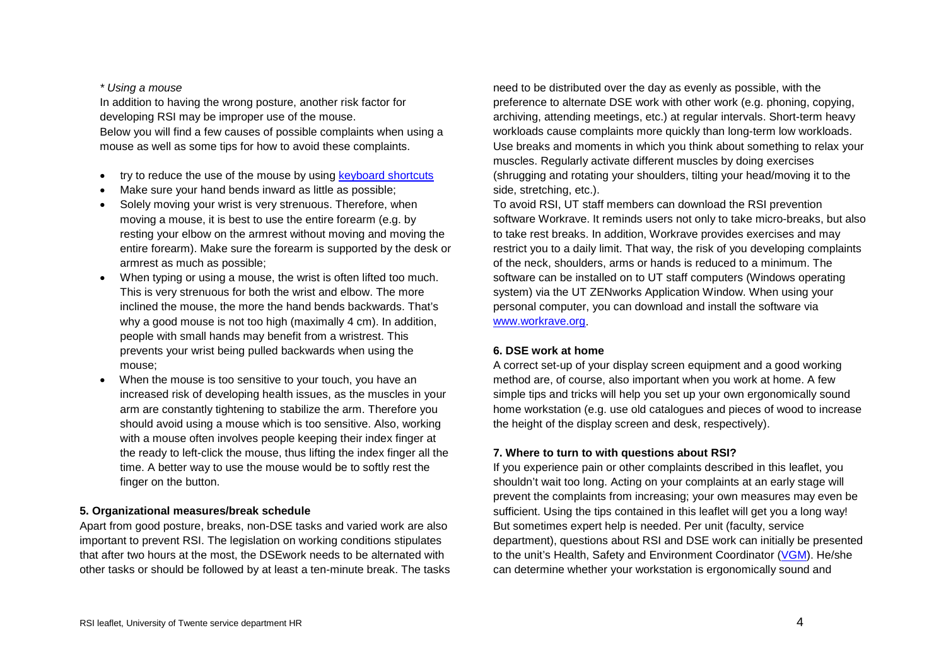#### *\* Using a mouse*

In addition to having the wrong posture, another risk factor for developing RSI may be improper use of the mouse. Below you will find a few causes of possible complaints when using a mouse as well as some tips for how to avoid these complaints.

- try to reduce the use of the mouse by using [keyboard shortcuts](http://www.sneltoetsen.com/sneltoetsen_windows.html)
- Make sure your hand bends inward as little as possible:
- Solely moving your wrist is very strenuous. Therefore, when moving a mouse, it is best to use the entire forearm (e.g. by resting your elbow on the armrest without moving and moving the entire forearm). Make sure the forearm is supported by the desk or armrest as much as possible;
- When typing or using a mouse, the wrist is often lifted too much. This is very strenuous for both the wrist and elbow. The more inclined the mouse, the more the hand bends backwards. That's why a good mouse is not too high (maximally 4 cm). In addition, people with small hands may benefit from a wristrest. This prevents your wrist being pulled backwards when using the mouse;
- When the mouse is too sensitive to your touch, you have an increased risk of developing health issues, as the muscles in your arm are constantly tightening to stabilize the arm. Therefore you should avoid using a mouse which is too sensitive. Also, working with a mouse often involves people keeping their index finger at the ready to left-click the mouse, thus lifting the index finger all the time. A better way to use the mouse would be to softly rest the finger on the button.

### **5. Organizational measures/break schedule**

Apart from good posture, breaks, non-DSE tasks and varied work are also important to prevent RSI. The legislation on working conditions stipulates that after two hours at the most, the DSEwork needs to be alternated with other tasks or should be followed by at least a ten-minute break. The tasks

need to be distributed over the day as evenly as possible, with the preference to alternate DSE work with other work (e.g. phoning, copying, archiving, attending meetings, etc.) at regular intervals. Short-term heavy workloads cause complaints more quickly than long-term low workloads. Use breaks and moments in which you think about something to relax your muscles. Regularly activate different muscles by doing exercises (shrugging and rotating your shoulders, tilting your head/moving it to the side, stretching, etc.).

To avoid RSI, UT staff members can download the RSI prevention software Workrave. It reminds users not only to take micro-breaks, but also to take rest breaks. In addition, Workrave provides exercises and may restrict you to a daily limit. That way, the risk of you developing complaints of the neck, shoulders, arms or hands is reduced to a minimum. The software can be installed on to UT staff computers (Windows operating system) via the UT ZENworks Application Window. When using your personal computer, you can download and install the software via [www.workrave.org.](http://www.workrave.org/)

#### **6. DSE work at home**

A correct set-up of your display screen equipment and a good working method are, of course, also important when you work at home. A few simple tips and tricks will help you set up your own ergonomically sound home workstation (e.g. use old catalogues and pieces of wood to increase the height of the display screen and desk, respectively).

#### **7. Where to turn to with questions about RSI?**

If you experience pain or other complaints described in this leaflet, you shouldn't wait too long. Acting on your complaints at an early stage will prevent the complaints from increasing; your own measures may even be sufficient. Using the tips contained in this leaflet will get you a long way! But sometimes expert help is needed. Per unit (faculty, service department), questions about RSI and DSE work can initially be presented to the unit's Health, Safety and Environment Coordinator [\(VGM\)](https://www.utwente.nl/hr/en/health-safety-environment/organization-information/organization/hse-coordinators/). He/she can determine whether your workstation is ergonomically sound and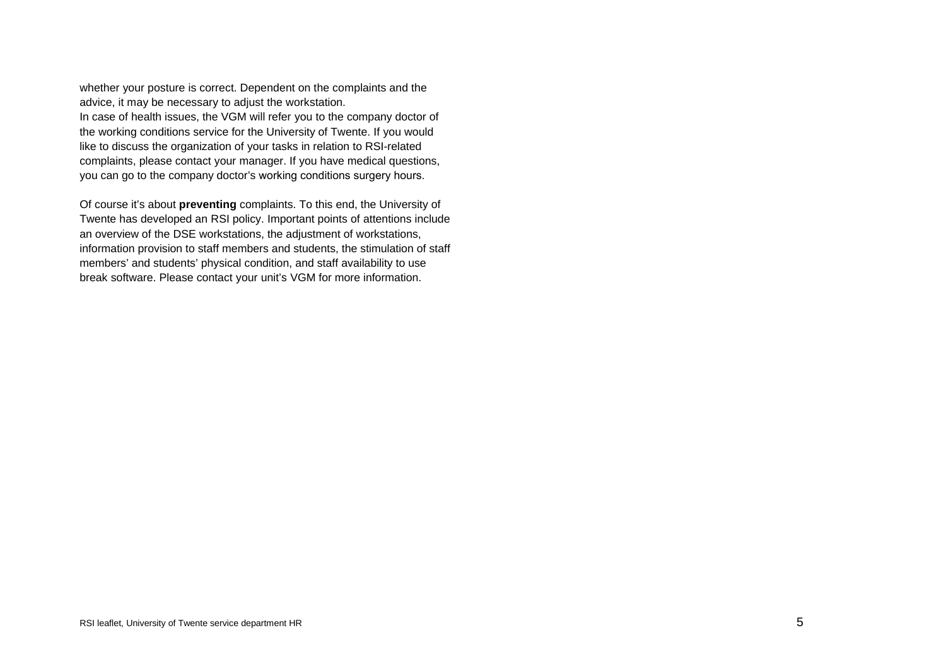whether your posture is correct. Dependent on the complaints and the advice, it may be necessary to adjust the workstation. In case of health issues, the VGM will refer you to the company doctor of the working conditions service for the University of Twente. If you would like to discuss the organization of your tasks in relation to RSI-related complaints, please contact your manager. If you have medical questions, you can go to the company doctor's working conditions surg[ery hours.](https://www.utwente.nl/hr/en/health-safety-environment/health-welfare/working-conditions-consultation/)

Of course it's about **preventing** complaints. To this end, the University of Twente has developed an RSI policy. Important points of attentions include an overview of the DSE workstations, the adjustment of workstations, information provision to staff members and students, the stimulation of staff members' and students' physical condition, and staff availability to use break software. Please contact your unit's VGM for more information.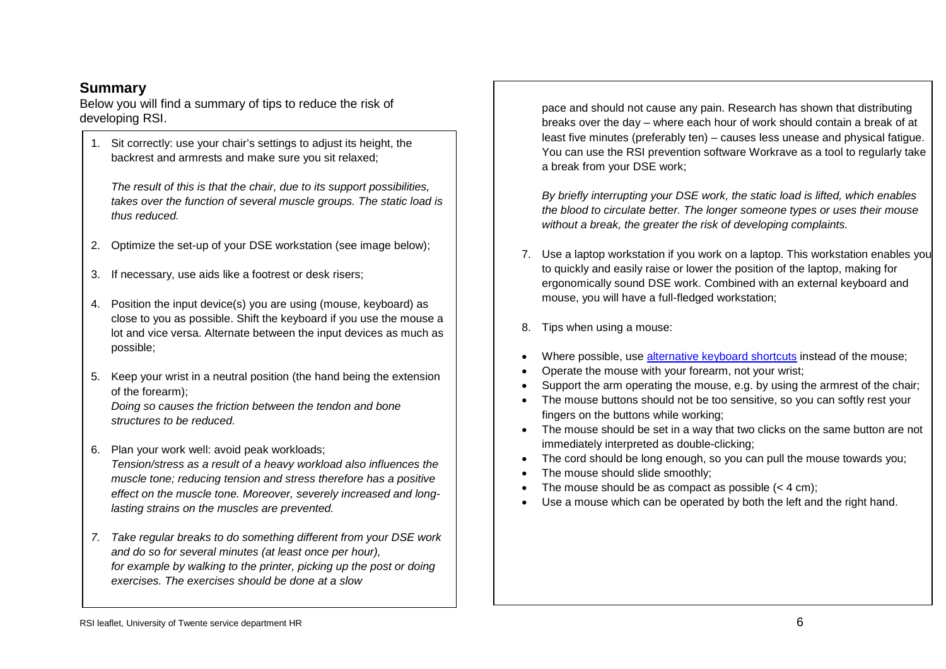# **Summary**

Below you will find a summary of tips to reduce the risk of developing RSI.

1. Sit correctly: use your chair's settings to adjust its height, the backrest and armrests and make sure you sit relaxed;

*The result of this is that the chair, due to its support possibilities, takes over the function of several muscle groups. The static load is thus reduced.*

- 2. Optimize the set-up of your DSE workstation (see image below);
- 3. If necessary, use aids like a footrest or desk risers;
- 4. Position the input device(s) you are using (mouse, keyboard) as close to you as possible. Shift the keyboard if you use the mouse a lot and vice versa. Alternate between the input devices as much as possible;
- 5. Keep your wrist in a neutral position (the hand being the extension of the forearm);

*Doing so causes the friction between the tendon and bone structures to be reduced.*

- 6. Plan your work well: avoid peak workloads; *Tension/stress as a result of a heavy workload also influences the muscle tone; reducing tension and stress therefore has a positive effect on the muscle tone. Moreover, severely increased and longlasting strains on the muscles are prevented.*
- *7. Take regular breaks to do something different from your DSE work and do so for several minutes (at least once per hour), for example by walking to the printer, picking up the post or doing exercises. The exercises should be done at a slow*

pace and should not cause any pain. Research has shown that distributing breaks over the day – where each hour of work should contain a break of at least five minutes (preferably ten) – causes less unease and physical fatigue. You can use the RSI prevention software Workrave as a tool to regularly take a break from your DSE work;

*By briefly interrupting your DSE work, the static load is lifted, which enables the blood to circulate better. The longer someone types or uses their mouse without a break, the greater the risk of developing complaints.*

- 7. Use a laptop workstation if you work on a laptop. This workstation enables you to quickly and easily raise or lower the position of the laptop, making for ergonomically sound DSE work. Combined with an external keyboard and mouse, you will have a full-fledged workstation;
- 8. Tips when using a mouse:
- Where possible, use [alternative keyboard shortcuts](http://www.sneltoetsen.com/sneltoetsen_windows.html) instead of the mouse;
- Operate the mouse with your forearm, not your wrist;
- Support the arm operating the mouse, e.g. by using the armrest of the chair;
- The mouse buttons should not be too sensitive, so you can softly rest your fingers on the buttons while working;
- The mouse should be set in a way that two clicks on the same button are not immediately interpreted as double-clicking;
- The cord should be long enough, so you can pull the mouse towards you;
- The mouse should slide smoothly:
- The mouse should be as compact as possible  $(< 4 \text{ cm})$ ;
- Use a mouse which can be operated by both the left and the right hand.